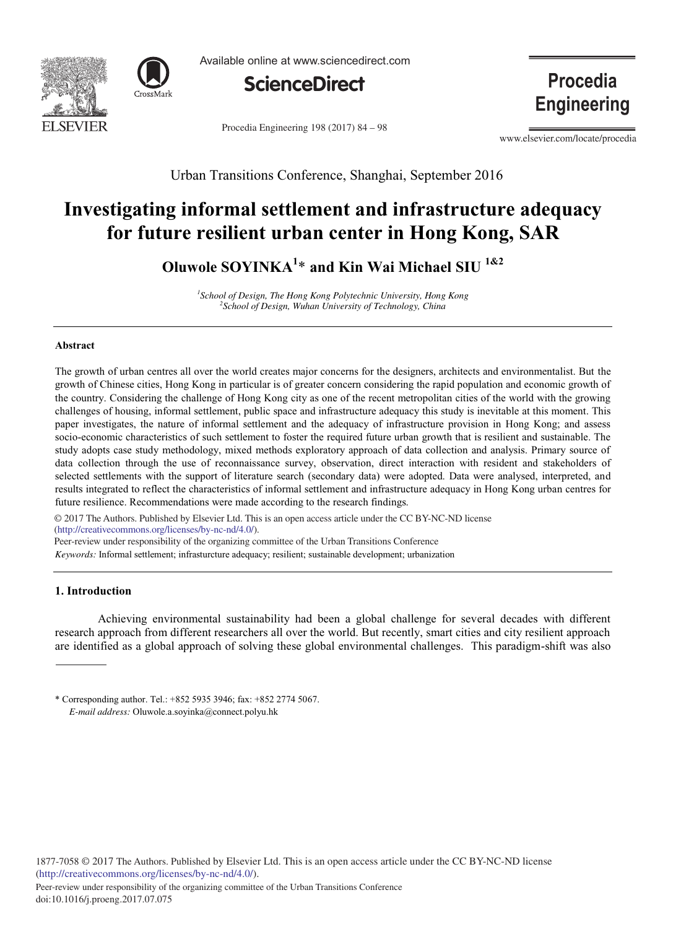



Available online at www.sciencedirect.com



Procedia Engineering 198 (2017) 84 - 98

**Procedia Engineering** 

www.elsevier.com/locate/procedia

Urban Transitions Conference, Shanghai, September 2016

# **Investigating informal settlement and infrastructure adequacy for future resilient urban center in Hong Kong, SAR**

**Oluwole SOYINKA<sup>1</sup>** \* **and Kin Wai Michael SIU 1&2**

*1 School of Design, The Hong Kong Polytechnic University, Hong Kong <sup>2</sup> School of Design, Wuhan University of Technology, China*

## **Abstract**

The growth of urban centres all over the world creates major concerns for the designers, architects and environmentalist. But the growth of Chinese cities, Hong Kong in particular is of greater concern considering the rapid population and economic growth of the country. Considering the challenge of Hong Kong city as one of the recent metropolitan cities of the world with the growing challenges of housing, informal settlement, public space and infrastructure adequacy this study is inevitable at this moment. This paper investigates, the nature of informal settlement and the adequacy of infrastructure provision in Hong Kong; and assess socio-economic characteristics of such settlement to foster the required future urban growth that is resilient and sustainable. The study adopts case study methodology, mixed methods exploratory approach of data collection and analysis. Primary source of data collection through the use of reconnaissance survey, observation, direct interaction with resident and stakeholders of selected settlements with the support of literature search (secondary data) were adopted. Data were analysed, interpreted, and results integrated to reflect the characteristics of informal settlement and infrastructure adequacy in Hong Kong urban centres for future resilience. Recommendations were made according to the research findings.

© 2017 The Authors. Published by Elsevier Ltd. © 2017 The Authors. Published by Elsevier Ltd. This is an open access article under the CC BY-NC-ND license (http://creativecommons.org/licenses/by-nc-nd/4.0/). *Keywords:* Informal settlement; infrasturcture adequacy; resilient; sustainable development; urbanization Peer-review under responsibility of the organizing committee of the Urban Transitions Conference

# **1. Introduction**

Achieving environmental sustainability had been a global challenge for several decades with different research approach from different researchers all over the world. But recently, smart cities and city resilient approach are identified as a global approach of solving these global environmental challenges. This paradigm-shift was also

<sup>\*</sup> Corresponding author. Tel.: +852 5935 3946; fax: +852 2774 5067. *E-mail address:* Oluwole.a.soyinka@connect.polyu.hk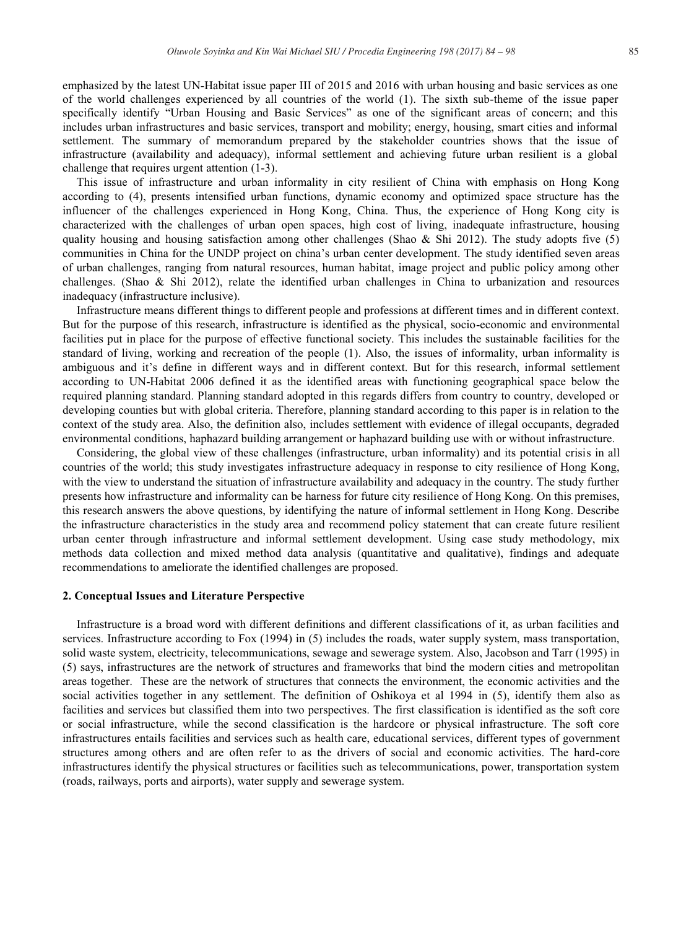emphasized by the latest UN-Habitat issue paper III of 2015 and 2016 with urban housing and basic services as one of the world challenges experienced by all countries of the world (1). The sixth sub-theme of the issue paper specifically identify "Urban Housing and Basic Services" as one of the significant areas of concern; and this includes urban infrastructures and basic services, transport and mobility; energy, housing, smart cities and informal settlement. The summary of memorandum prepared by the stakeholder countries shows that the issue of infrastructure (availability and adequacy), informal settlement and achieving future urban resilient is a global challenge that requires urgent attention (1-3).

This issue of infrastructure and urban informality in city resilient of China with emphasis on Hong Kong according to (4), presents intensified urban functions, dynamic economy and optimized space structure has the influencer of the challenges experienced in Hong Kong, China. Thus, the experience of Hong Kong city is characterized with the challenges of urban open spaces, high cost of living, inadequate infrastructure, housing quality housing and housing satisfaction among other challenges (Shao  $\&$  Shi 2012). The study adopts five (5) communities in China for the UNDP project on china's urban center development. The study identified seven areas of urban challenges, ranging from natural resources, human habitat, image project and public policy among other challenges. (Shao & Shi 2012), relate the identified urban challenges in China to urbanization and resources inadequacy (infrastructure inclusive).

Infrastructure means different things to different people and professions at different times and in different context. But for the purpose of this research, infrastructure is identified as the physical, socio-economic and environmental facilities put in place for the purpose of effective functional society. This includes the sustainable facilities for the standard of living, working and recreation of the people (1). Also, the issues of informality, urban informality is ambiguous and it's define in different ways and in different context. But for this research, informal settlement according to UN-Habitat 2006 defined it as the identified areas with functioning geographical space below the required planning standard. Planning standard adopted in this regards differs from country to country, developed or developing counties but with global criteria. Therefore, planning standard according to this paper is in relation to the context of the study area. Also, the definition also, includes settlement with evidence of illegal occupants, degraded environmental conditions, haphazard building arrangement or haphazard building use with or without infrastructure.

Considering, the global view of these challenges (infrastructure, urban informality) and its potential crisis in all countries of the world; this study investigates infrastructure adequacy in response to city resilience of Hong Kong, with the view to understand the situation of infrastructure availability and adequacy in the country. The study further presents how infrastructure and informality can be harness for future city resilience of Hong Kong. On this premises, this research answers the above questions, by identifying the nature of informal settlement in Hong Kong. Describe the infrastructure characteristics in the study area and recommend policy statement that can create future resilient urban center through infrastructure and informal settlement development. Using case study methodology, mix methods data collection and mixed method data analysis (quantitative and qualitative), findings and adequate recommendations to ameliorate the identified challenges are proposed.

## **2. Conceptual Issues and Literature Perspective**

Infrastructure is a broad word with different definitions and different classifications of it, as urban facilities and services. Infrastructure according to Fox (1994) in (5) includes the roads, water supply system, mass transportation, solid waste system, electricity, telecommunications, sewage and sewerage system. Also, Jacobson and Tarr (1995) in (5) says, infrastructures are the network of structures and frameworks that bind the modern cities and metropolitan areas together. These are the network of structures that connects the environment, the economic activities and the social activities together in any settlement. The definition of Oshikoya et al 1994 in (5), identify them also as facilities and services but classified them into two perspectives. The first classification is identified as the soft core or social infrastructure, while the second classification is the hardcore or physical infrastructure. The soft core infrastructures entails facilities and services such as health care, educational services, different types of government structures among others and are often refer to as the drivers of social and economic activities. The hard-core infrastructures identify the physical structures or facilities such as telecommunications, power, transportation system (roads, railways, ports and airports), water supply and sewerage system.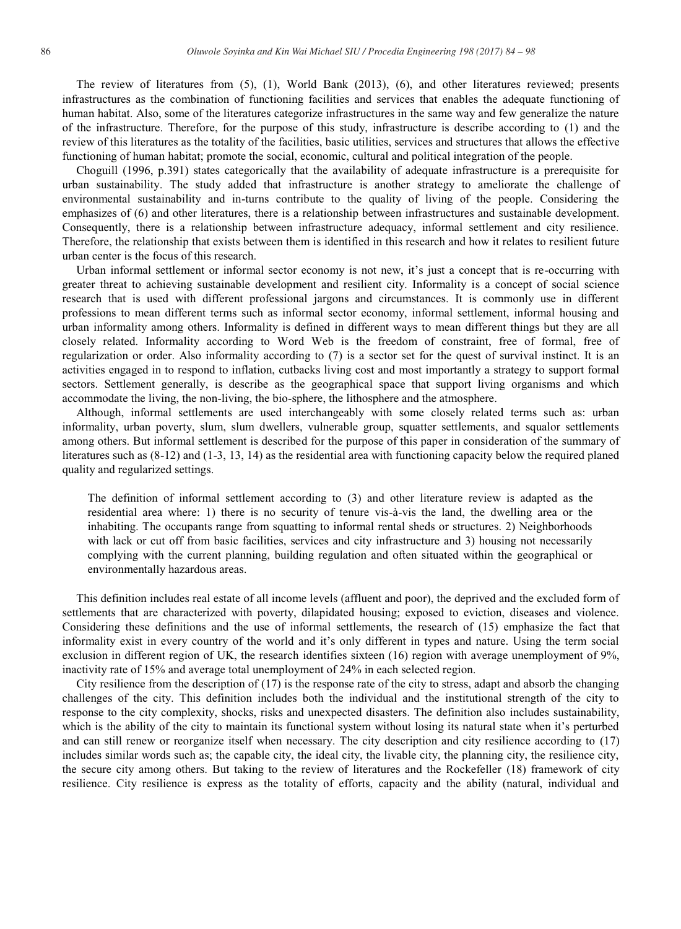The review of literatures from (5), (1), World Bank (2013), (6), and other literatures reviewed; presents infrastructures as the combination of functioning facilities and services that enables the adequate functioning of human habitat. Also, some of the literatures categorize infrastructures in the same way and few generalize the nature of the infrastructure. Therefore, for the purpose of this study, infrastructure is describe according to (1) and the review of this literatures as the totality of the facilities, basic utilities, services and structures that allows the effective functioning of human habitat; promote the social, economic, cultural and political integration of the people.

Choguill (1996, p.391) states categorically that the availability of adequate infrastructure is a prerequisite for urban sustainability. The study added that infrastructure is another strategy to ameliorate the challenge of environmental sustainability and in-turns contribute to the quality of living of the people. Considering the emphasizes of (6) and other literatures, there is a relationship between infrastructures and sustainable development. Consequently, there is a relationship between infrastructure adequacy, informal settlement and city resilience. Therefore, the relationship that exists between them is identified in this research and how it relates to resilient future urban center is the focus of this research.

Urban informal settlement or informal sector economy is not new, it's just a concept that is re-occurring with greater threat to achieving sustainable development and resilient city. Informality is a concept of social science research that is used with different professional jargons and circumstances. It is commonly use in different professions to mean different terms such as informal sector economy, informal settlement, informal housing and urban informality among others. Informality is defined in different ways to mean different things but they are all closely related. Informality according to Word Web is the freedom of constraint, free of formal, free of regularization or order. Also informality according to (7) is a sector set for the quest of survival instinct. It is an activities engaged in to respond to inflation, cutbacks living cost and most importantly a strategy to support formal sectors. Settlement generally, is describe as the geographical space that support living organisms and which accommodate the living, the non-living, the bio-sphere, the lithosphere and the atmosphere.

Although, informal settlements are used interchangeably with some closely related terms such as: urban informality, urban poverty, slum, slum dwellers, vulnerable group, squatter settlements, and squalor settlements among others. But informal settlement is described for the purpose of this paper in consideration of the summary of literatures such as (8-12) and (1-3, 13, 14) as the residential area with functioning capacity below the required planed quality and regularized settings.

The definition of informal settlement according to (3) and other literature review is adapted as the residential area where: 1) there is no security of tenure vis-à-vis the land, the dwelling area or the inhabiting. The occupants range from squatting to informal rental sheds or structures. 2) Neighborhoods with lack or cut off from basic facilities, services and city infrastructure and 3) housing not necessarily complying with the current planning, building regulation and often situated within the geographical or environmentally hazardous areas.

This definition includes real estate of all income levels (affluent and poor), the deprived and the excluded form of settlements that are characterized with poverty, dilapidated housing; exposed to eviction, diseases and violence. Considering these definitions and the use of informal settlements, the research of (15) emphasize the fact that informality exist in every country of the world and it's only different in types and nature. Using the term social exclusion in different region of UK, the research identifies sixteen (16) region with average unemployment of 9%, inactivity rate of 15% and average total unemployment of 24% in each selected region.

City resilience from the description of  $(17)$  is the response rate of the city to stress, adapt and absorb the changing challenges of the city. This definition includes both the individual and the institutional strength of the city to response to the city complexity, shocks, risks and unexpected disasters. The definition also includes sustainability, which is the ability of the city to maintain its functional system without losing its natural state when it's perturbed and can still renew or reorganize itself when necessary. The city description and city resilience according to (17) includes similar words such as; the capable city, the ideal city, the livable city, the planning city, the resilience city, the secure city among others. But taking to the review of literatures and the Rockefeller (18) framework of city resilience. City resilience is express as the totality of efforts, capacity and the ability (natural, individual and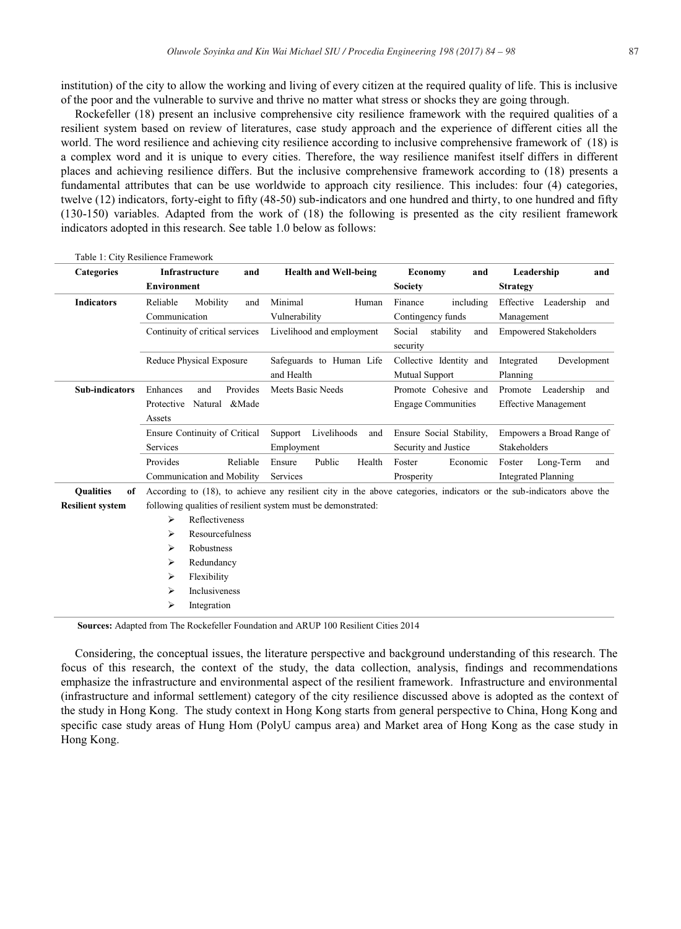institution) of the city to allow the working and living of every citizen at the required quality of life. This is inclusive of the poor and the vulnerable to survive and thrive no matter what stress or shocks they are going through.

Rockefeller (18) present an inclusive comprehensive city resilience framework with the required qualities of a resilient system based on review of literatures, case study approach and the experience of different cities all the world. The word resilience and achieving city resilience according to inclusive comprehensive framework of (18) is a complex word and it is unique to every cities. Therefore, the way resilience manifest itself differs in different places and achieving resilience differs. But the inclusive comprehensive framework according to (18) presents a fundamental attributes that can be use worldwide to approach city resilience. This includes: four (4) categories, twelve (12) indicators, forty-eight to fifty (48-50) sub-indicators and one hundred and thirty, to one hundred and fifty (130-150) variables. Adapted from the work of (18) the following is presented as the city resilient framework indicators adopted in this research. See table 1.0 below as follows:

|                         | Table 1: City Resilience Framework                                                                                   |                               |                            |                                             |  |  |  |  |
|-------------------------|----------------------------------------------------------------------------------------------------------------------|-------------------------------|----------------------------|---------------------------------------------|--|--|--|--|
| <b>Categories</b>       | <b>Infrastructure</b><br><b>Health and Well-being</b><br>and                                                         |                               | Economy<br>and             | Leadership<br>and                           |  |  |  |  |
|                         | <b>Environment</b>                                                                                                   |                               | <b>Society</b>             | <b>Strategy</b>                             |  |  |  |  |
| <b>Indicators</b>       | Reliable<br>Mobility<br>and                                                                                          | Minimal<br>Human              | Finance<br>including       | Effective Leadership<br>and                 |  |  |  |  |
|                         | Communication                                                                                                        | Vulnerability                 | Contingency funds          | Management<br><b>Empowered Stakeholders</b> |  |  |  |  |
|                         | Continuity of critical services                                                                                      | Livelihood and employment     | Social<br>stability<br>and |                                             |  |  |  |  |
|                         |                                                                                                                      |                               | security                   |                                             |  |  |  |  |
|                         | Reduce Physical Exposure                                                                                             | Safeguards to Human Life      | Collective Identity and    | Integrated<br>Development                   |  |  |  |  |
|                         |                                                                                                                      | and Health                    | Mutual Support             | Planning                                    |  |  |  |  |
| <b>Sub-indicators</b>   | Provides<br>Enhances<br>and                                                                                          | Meets Basic Needs             | Promote Cohesive and       | Promote<br>Leadership<br>and                |  |  |  |  |
|                         | Protective<br>Natural &Made                                                                                          |                               | <b>Engage Communities</b>  | <b>Effective Management</b>                 |  |  |  |  |
|                         | Assets                                                                                                               |                               |                            |                                             |  |  |  |  |
|                         | Ensure Continuity of Critical                                                                                        | Livelihoods<br>Support<br>and | Ensure Social Stability,   | Empowers a Broad Range of                   |  |  |  |  |
|                         | Services                                                                                                             | Employment                    | Security and Justice       | Stakeholders                                |  |  |  |  |
|                         | Provides<br>Reliable                                                                                                 | Public<br>Health<br>Ensure    | Foster<br>Economic         | Foster<br>Long-Term<br>and                  |  |  |  |  |
|                         | Communication and Mobility                                                                                           | Services                      | Prosperity                 | <b>Integrated Planning</b>                  |  |  |  |  |
| <b>Oualities</b><br>of  | According to (18), to achieve any resilient city in the above categories, indicators or the sub-indicators above the |                               |                            |                                             |  |  |  |  |
| <b>Resilient system</b> | following qualities of resilient system must be demonstrated:                                                        |                               |                            |                                             |  |  |  |  |
|                         | ⋗<br>Reflectiveness                                                                                                  |                               |                            |                                             |  |  |  |  |
|                         | Resourcefulness<br>⋗                                                                                                 |                               |                            |                                             |  |  |  |  |
|                         | Robustness<br>⋗                                                                                                      |                               |                            |                                             |  |  |  |  |
|                         | Redundancy<br>⋗                                                                                                      |                               |                            |                                             |  |  |  |  |
|                         | Flexibility<br>⋗                                                                                                     |                               |                            |                                             |  |  |  |  |
|                         | Inclusiveness<br>⋗                                                                                                   |                               |                            |                                             |  |  |  |  |
|                         | Integration<br>⋗                                                                                                     |                               |                            |                                             |  |  |  |  |
|                         |                                                                                                                      |                               |                            |                                             |  |  |  |  |

**Sources:** Adapted from The Rockefeller Foundation and ARUP 100 Resilient Cities 2014

Considering, the conceptual issues, the literature perspective and background understanding of this research. The focus of this research, the context of the study, the data collection, analysis, findings and recommendations emphasize the infrastructure and environmental aspect of the resilient framework. Infrastructure and environmental (infrastructure and informal settlement) category of the city resilience discussed above is adopted as the context of the study in Hong Kong. The study context in Hong Kong starts from general perspective to China, Hong Kong and specific case study areas of Hung Hom (PolyU campus area) and Market area of Hong Kong as the case study in Hong Kong.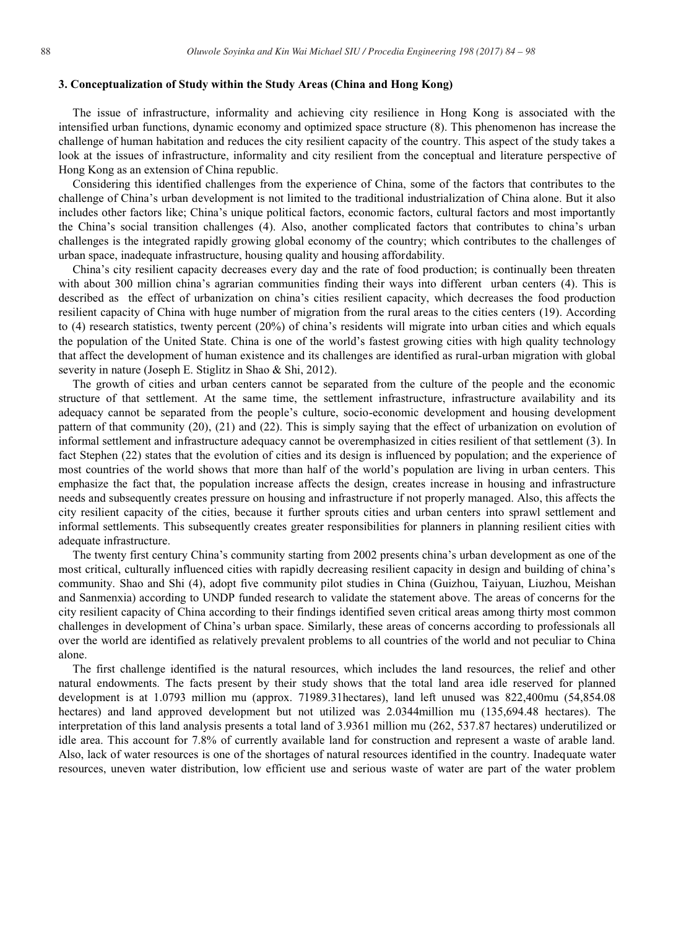#### **3. Conceptualization of Study within the Study Areas (China and Hong Kong)**

The issue of infrastructure, informality and achieving city resilience in Hong Kong is associated with the intensified urban functions, dynamic economy and optimized space structure (8). This phenomenon has increase the challenge of human habitation and reduces the city resilient capacity of the country. This aspect of the study takes a look at the issues of infrastructure, informality and city resilient from the conceptual and literature perspective of Hong Kong as an extension of China republic.

Considering this identified challenges from the experience of China, some of the factors that contributes to the challenge of China's urban development is not limited to the traditional industrialization of China alone. But it also includes other factors like; China's unique political factors, economic factors, cultural factors and most importantly the China's social transition challenges (4). Also, another complicated factors that contributes to china's urban challenges is the integrated rapidly growing global economy of the country; which contributes to the challenges of urban space, inadequate infrastructure, housing quality and housing affordability.

China's city resilient capacity decreases every day and the rate of food production; is continually been threaten with about 300 million china's agrarian communities finding their ways into different urban centers (4). This is described as the effect of urbanization on china's cities resilient capacity, which decreases the food production resilient capacity of China with huge number of migration from the rural areas to the cities centers (19). According to (4) research statistics, twenty percent (20%) of china's residents will migrate into urban cities and which equals the population of the United State. China is one of the world's fastest growing cities with high quality technology that affect the development of human existence and its challenges are identified as rural-urban migration with global severity in nature (Joseph E. Stiglitz in Shao & Shi, 2012).

The growth of cities and urban centers cannot be separated from the culture of the people and the economic structure of that settlement. At the same time, the settlement infrastructure, infrastructure availability and its adequacy cannot be separated from the people's culture, socio-economic development and housing development pattern of that community (20), (21) and (22). This is simply saying that the effect of urbanization on evolution of informal settlement and infrastructure adequacy cannot be overemphasized in cities resilient of that settlement (3). In fact Stephen (22) states that the evolution of cities and its design is influenced by population; and the experience of most countries of the world shows that more than half of the world's population are living in urban centers. This emphasize the fact that, the population increase affects the design, creates increase in housing and infrastructure needs and subsequently creates pressure on housing and infrastructure if not properly managed. Also, this affects the city resilient capacity of the cities, because it further sprouts cities and urban centers into sprawl settlement and informal settlements. This subsequently creates greater responsibilities for planners in planning resilient cities with adequate infrastructure.

The twenty first century China's community starting from 2002 presents china's urban development as one of the most critical, culturally influenced cities with rapidly decreasing resilient capacity in design and building of china's community. Shao and Shi (4), adopt five community pilot studies in China (Guizhou, Taiyuan, Liuzhou, Meishan and Sanmenxia) according to UNDP funded research to validate the statement above. The areas of concerns for the city resilient capacity of China according to their findings identified seven critical areas among thirty most common challenges in development of China's urban space. Similarly, these areas of concerns according to professionals all over the world are identified as relatively prevalent problems to all countries of the world and not peculiar to China alone.

The first challenge identified is the natural resources, which includes the land resources, the relief and other natural endowments. The facts present by their study shows that the total land area idle reserved for planned development is at 1.0793 million mu (approx. 71989.31hectares), land left unused was 822,400mu (54,854.08 hectares) and land approved development but not utilized was 2.0344million mu (135,694.48 hectares). The interpretation of this land analysis presents a total land of 3.9361 million mu (262, 537.87 hectares) underutilized or idle area. This account for 7.8% of currently available land for construction and represent a waste of arable land. Also, lack of water resources is one of the shortages of natural resources identified in the country. Inadequate water resources, uneven water distribution, low efficient use and serious waste of water are part of the water problem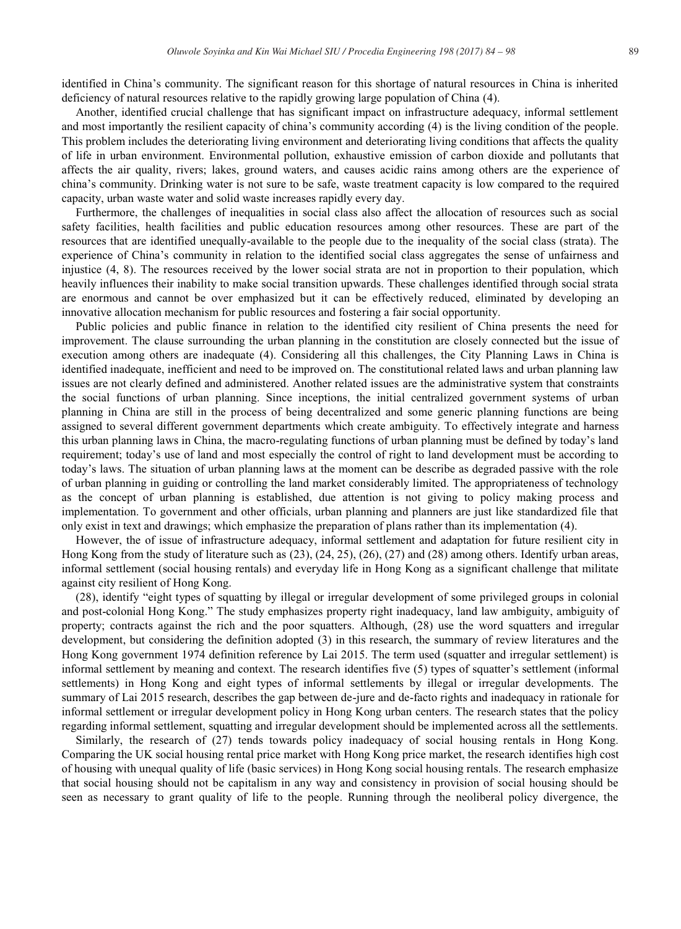identified in China's community. The significant reason for this shortage of natural resources in China is inherited

deficiency of natural resources relative to the rapidly growing large population of China (4). Another, identified crucial challenge that has significant impact on infrastructure adequacy, informal settlement and most importantly the resilient capacity of china's community according (4) is the living condition of the people. This problem includes the deteriorating living environment and deteriorating living conditions that affects the quality of life in urban environment. Environmental pollution, exhaustive emission of carbon dioxide and pollutants that affects the air quality, rivers; lakes, ground waters, and causes acidic rains among others are the experience of china's community. Drinking water is not sure to be safe, waste treatment capacity is low compared to the required capacity, urban waste water and solid waste increases rapidly every day.

Furthermore, the challenges of inequalities in social class also affect the allocation of resources such as social safety facilities, health facilities and public education resources among other resources. These are part of the resources that are identified unequally-available to the people due to the inequality of the social class (strata). The experience of China's community in relation to the identified social class aggregates the sense of unfairness and injustice (4, 8). The resources received by the lower social strata are not in proportion to their population, which heavily influences their inability to make social transition upwards. These challenges identified through social strata are enormous and cannot be over emphasized but it can be effectively reduced, eliminated by developing an innovative allocation mechanism for public resources and fostering a fair social opportunity.

Public policies and public finance in relation to the identified city resilient of China presents the need for improvement. The clause surrounding the urban planning in the constitution are closely connected but the issue of execution among others are inadequate (4). Considering all this challenges, the City Planning Laws in China is identified inadequate, inefficient and need to be improved on. The constitutional related laws and urban planning law issues are not clearly defined and administered. Another related issues are the administrative system that constraints the social functions of urban planning. Since inceptions, the initial centralized government systems of urban planning in China are still in the process of being decentralized and some generic planning functions are being assigned to several different government departments which create ambiguity. To effectively integrate and harness this urban planning laws in China, the macro-regulating functions of urban planning must be defined by today's land requirement; today's use of land and most especially the control of right to land development must be according to today's laws. The situation of urban planning laws at the moment can be describe as degraded passive with the role of urban planning in guiding or controlling the land market considerably limited. The appropriateness of technology as the concept of urban planning is established, due attention is not giving to policy making process and implementation. To government and other officials, urban planning and planners are just like standardized file that only exist in text and drawings; which emphasize the preparation of plans rather than its implementation (4).

However, the of issue of infrastructure adequacy, informal settlement and adaptation for future resilient city in Hong Kong from the study of literature such as (23), (24, 25), (26), (27) and (28) among others. Identify urban areas, informal settlement (social housing rentals) and everyday life in Hong Kong as a significant challenge that militate against city resilient of Hong Kong.

(28), identify "eight types of squatting by illegal or irregular development of some privileged groups in colonial and post-colonial Hong Kong." The study emphasizes property right inadequacy, land law ambiguity, ambiguity of property; contracts against the rich and the poor squatters. Although, (28) use the word squatters and irregular development, but considering the definition adopted (3) in this research, the summary of review literatures and the Hong Kong government 1974 definition reference by Lai 2015. The term used (squatter and irregular settlement) is informal settlement by meaning and context. The research identifies five (5) types of squatter's settlement (informal settlements) in Hong Kong and eight types of informal settlements by illegal or irregular developments. The summary of Lai 2015 research, describes the gap between de-jure and de-facto rights and inadequacy in rationale for informal settlement or irregular development policy in Hong Kong urban centers. The research states that the policy regarding informal settlement, squatting and irregular development should be implemented across all the settlements.

Similarly, the research of (27) tends towards policy inadequacy of social housing rentals in Hong Kong. Comparing the UK social housing rental price market with Hong Kong price market, the research identifies high cost of housing with unequal quality of life (basic services) in Hong Kong social housing rentals. The research emphasize that social housing should not be capitalism in any way and consistency in provision of social housing should be seen as necessary to grant quality of life to the people. Running through the neoliberal policy divergence, the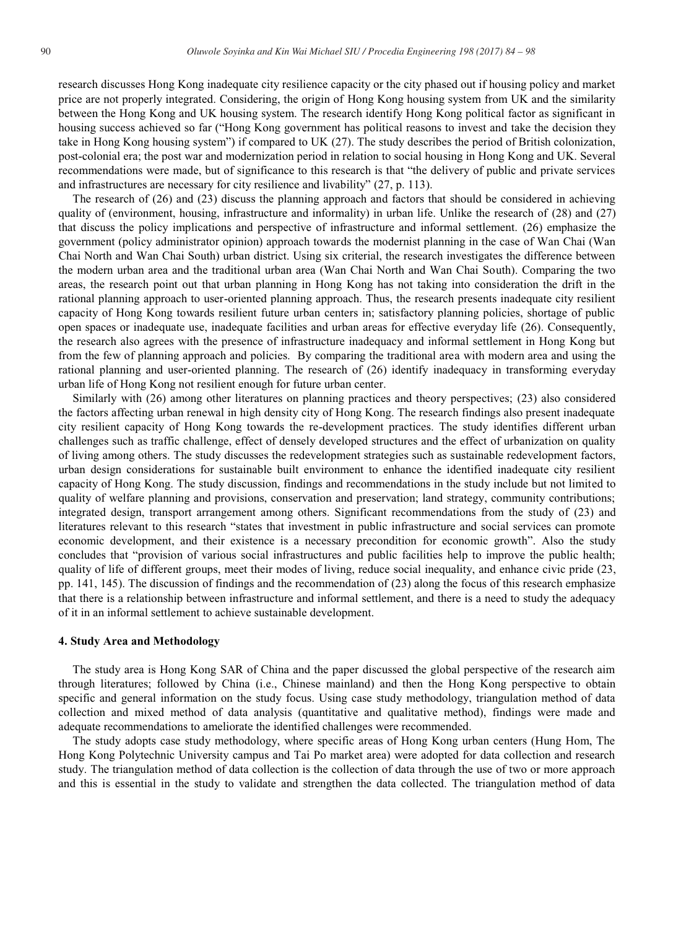research discusses Hong Kong inadequate city resilience capacity or the city phased out if housing policy and market price are not properly integrated. Considering, the origin of Hong Kong housing system from UK and the similarity between the Hong Kong and UK housing system. The research identify Hong Kong political factor as significant in housing success achieved so far ("Hong Kong government has political reasons to invest and take the decision they take in Hong Kong housing system") if compared to UK (27). The study describes the period of British colonization, post-colonial era; the post war and modernization period in relation to social housing in Hong Kong and UK. Several recommendations were made, but of significance to this research is that "the delivery of public and private services and infrastructures are necessary for city resilience and livability" (27, p. 113).

The research of (26) and (23) discuss the planning approach and factors that should be considered in achieving quality of (environment, housing, infrastructure and informality) in urban life. Unlike the research of (28) and (27) that discuss the policy implications and perspective of infrastructure and informal settlement. (26) emphasize the government (policy administrator opinion) approach towards the modernist planning in the case of Wan Chai (Wan Chai North and Wan Chai South) urban district. Using six criterial, the research investigates the difference between the modern urban area and the traditional urban area (Wan Chai North and Wan Chai South). Comparing the two areas, the research point out that urban planning in Hong Kong has not taking into consideration the drift in the rational planning approach to user-oriented planning approach. Thus, the research presents inadequate city resilient capacity of Hong Kong towards resilient future urban centers in; satisfactory planning policies, shortage of public open spaces or inadequate use, inadequate facilities and urban areas for effective everyday life (26). Consequently, the research also agrees with the presence of infrastructure inadequacy and informal settlement in Hong Kong but from the few of planning approach and policies. By comparing the traditional area with modern area and using the rational planning and user-oriented planning. The research of (26) identify inadequacy in transforming everyday urban life of Hong Kong not resilient enough for future urban center.

Similarly with (26) among other literatures on planning practices and theory perspectives; (23) also considered the factors affecting urban renewal in high density city of Hong Kong. The research findings also present inadequate city resilient capacity of Hong Kong towards the re-development practices. The study identifies different urban challenges such as traffic challenge, effect of densely developed structures and the effect of urbanization on quality of living among others. The study discusses the redevelopment strategies such as sustainable redevelopment factors, urban design considerations for sustainable built environment to enhance the identified inadequate city resilient capacity of Hong Kong. The study discussion, findings and recommendations in the study include but not limited to quality of welfare planning and provisions, conservation and preservation; land strategy, community contributions; integrated design, transport arrangement among others. Significant recommendations from the study of (23) and literatures relevant to this research "states that investment in public infrastructure and social services can promote economic development, and their existence is a necessary precondition for economic growth". Also the study concludes that "provision of various social infrastructures and public facilities help to improve the public health; quality of life of different groups, meet their modes of living, reduce social inequality, and enhance civic pride (23, pp. 141, 145). The discussion of findings and the recommendation of (23) along the focus of this research emphasize that there is a relationship between infrastructure and informal settlement, and there is a need to study the adequacy of it in an informal settlement to achieve sustainable development.

# **4. Study Area and Methodology**

The study area is Hong Kong SAR of China and the paper discussed the global perspective of the research aim through literatures; followed by China (i.e., Chinese mainland) and then the Hong Kong perspective to obtain specific and general information on the study focus. Using case study methodology, triangulation method of data collection and mixed method of data analysis (quantitative and qualitative method), findings were made and adequate recommendations to ameliorate the identified challenges were recommended.

The study adopts case study methodology, where specific areas of Hong Kong urban centers (Hung Hom, The Hong Kong Polytechnic University campus and Tai Po market area) were adopted for data collection and research study. The triangulation method of data collection is the collection of data through the use of two or more approach and this is essential in the study to validate and strengthen the data collected. The triangulation method of data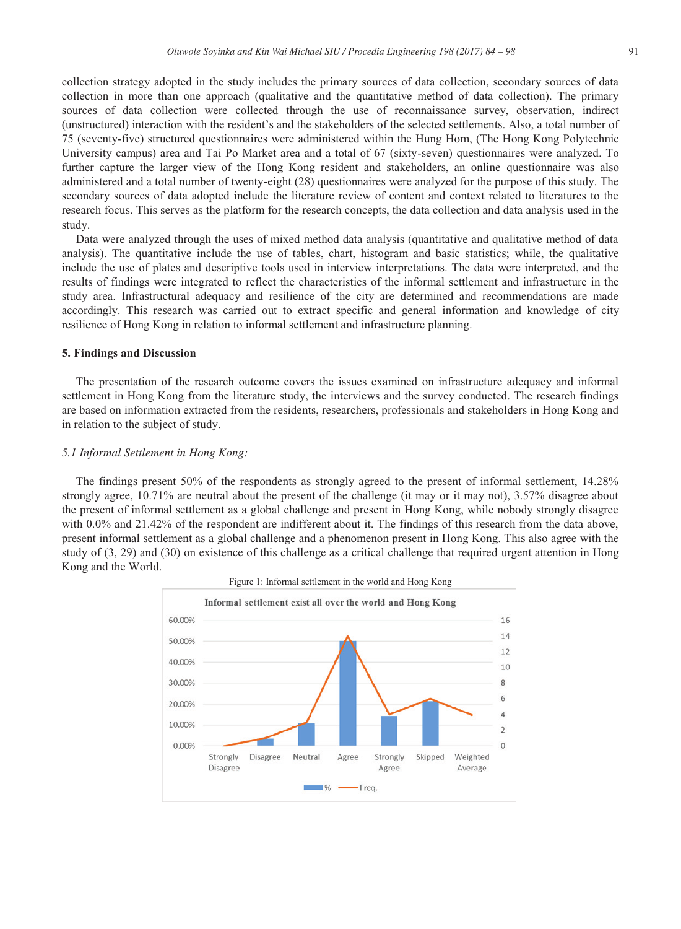collection strategy adopted in the study includes the primary sources of data collection, secondary sources of data collection in more than one approach (qualitative and the quantitative method of data collection). The primary sources of data collection were collected through the use of reconnaissance survey, observation, indirect (unstructured) interaction with the resident's and the stakeholders of the selected settlements. Also, a total number of 75 (seventy-five) structured questionnaires were administered within the Hung Hom, (The Hong Kong Polytechnic University campus) area and Tai Po Market area and a total of 67 (sixty-seven) questionnaires were analyzed. To further capture the larger view of the Hong Kong resident and stakeholders, an online questionnaire was also administered and a total number of twenty-eight (28) questionnaires were analyzed for the purpose of this study. The secondary sources of data adopted include the literature review of content and context related to literatures to the research focus. This serves as the platform for the research concepts, the data collection and data analysis used in the study.

Data were analyzed through the uses of mixed method data analysis (quantitative and qualitative method of data analysis). The quantitative include the use of tables, chart, histogram and basic statistics; while, the qualitative include the use of plates and descriptive tools used in interview interpretations. The data were interpreted, and the results of findings were integrated to reflect the characteristics of the informal settlement and infrastructure in the study area. Infrastructural adequacy and resilience of the city are determined and recommendations are made accordingly. This research was carried out to extract specific and general information and knowledge of city resilience of Hong Kong in relation to informal settlement and infrastructure planning.

## **5. Findings and Discussion**

The presentation of the research outcome covers the issues examined on infrastructure adequacy and informal settlement in Hong Kong from the literature study, the interviews and the survey conducted. The research findings are based on information extracted from the residents, researchers, professionals and stakeholders in Hong Kong and in relation to the subject of study.

#### *5.1 Informal Settlement in Hong Kong:*

The findings present 50% of the respondents as strongly agreed to the present of informal settlement, 14.28% strongly agree, 10.71% are neutral about the present of the challenge (it may or it may not), 3.57% disagree about the present of informal settlement as a global challenge and present in Hong Kong, while nobody strongly disagree with 0.0% and 21.42% of the respondent are indifferent about it. The findings of this research from the data above, present informal settlement as a global challenge and a phenomenon present in Hong Kong. This also agree with the study of (3, 29) and (30) on existence of this challenge as a critical challenge that required urgent attention in Hong Kong and the World.



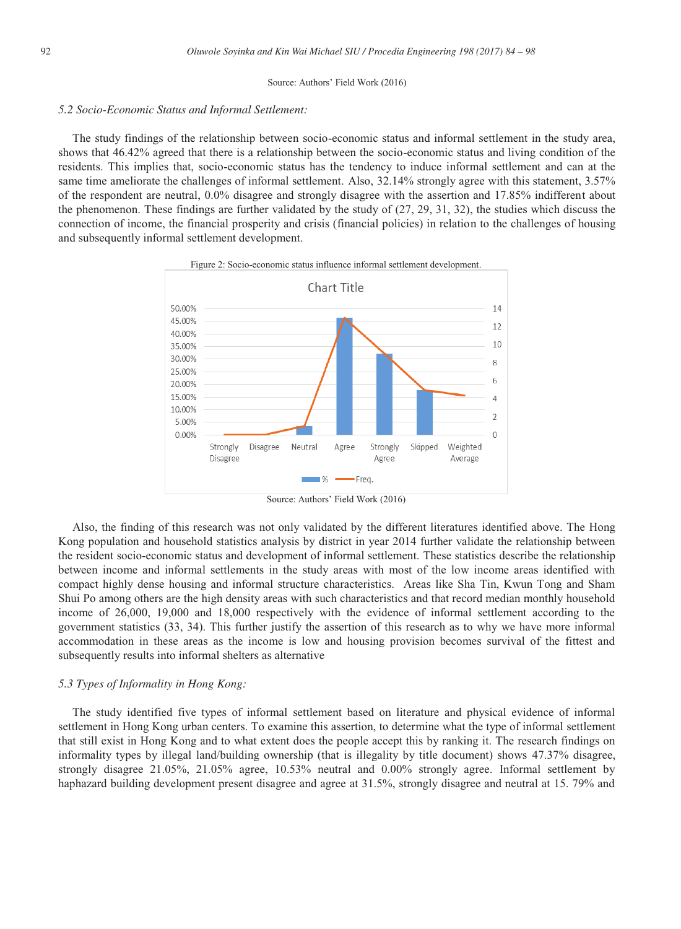Source: Authors' Field Work (2016)

#### *5.2 Socio-Economic Status and Informal Settlement:*

The study findings of the relationship between socio-economic status and informal settlement in the study area, shows that 46.42% agreed that there is a relationship between the socio-economic status and living condition of the residents. This implies that, socio-economic status has the tendency to induce informal settlement and can at the same time ameliorate the challenges of informal settlement. Also, 32.14% strongly agree with this statement, 3.57% of the respondent are neutral, 0.0% disagree and strongly disagree with the assertion and 17.85% indifferent about the phenomenon. These findings are further validated by the study of  $(27, 29, 31, 32)$ , the studies which discuss the connection of income, the financial prosperity and crisis (financial policies) in relation to the challenges of housing and subsequently informal settlement development.



Source: Authors' Field Work (2016)

Also, the finding of this research was not only validated by the different literatures identified above. The Hong Kong population and household statistics analysis by district in year 2014 further validate the relationship between the resident socio-economic status and development of informal settlement. These statistics describe the relationship between income and informal settlements in the study areas with most of the low income areas identified with compact highly dense housing and informal structure characteristics. Areas like Sha Tin, Kwun Tong and Sham Shui Po among others are the high density areas with such characteristics and that record median monthly household income of 26,000, 19,000 and 18,000 respectively with the evidence of informal settlement according to the government statistics (33, 34). This further justify the assertion of this research as to why we have more informal accommodation in these areas as the income is low and housing provision becomes survival of the fittest and subsequently results into informal shelters as alternative

#### *5.3 Types of Informality in Hong Kong:*

The study identified five types of informal settlement based on literature and physical evidence of informal settlement in Hong Kong urban centers. To examine this assertion, to determine what the type of informal settlement that still exist in Hong Kong and to what extent does the people accept this by ranking it. The research findings on informality types by illegal land/building ownership (that is illegality by title document) shows 47.37% disagree, strongly disagree 21.05%, 21.05% agree, 10.53% neutral and 0.00% strongly agree. Informal settlement by haphazard building development present disagree and agree at 31.5%, strongly disagree and neutral at 15.79% and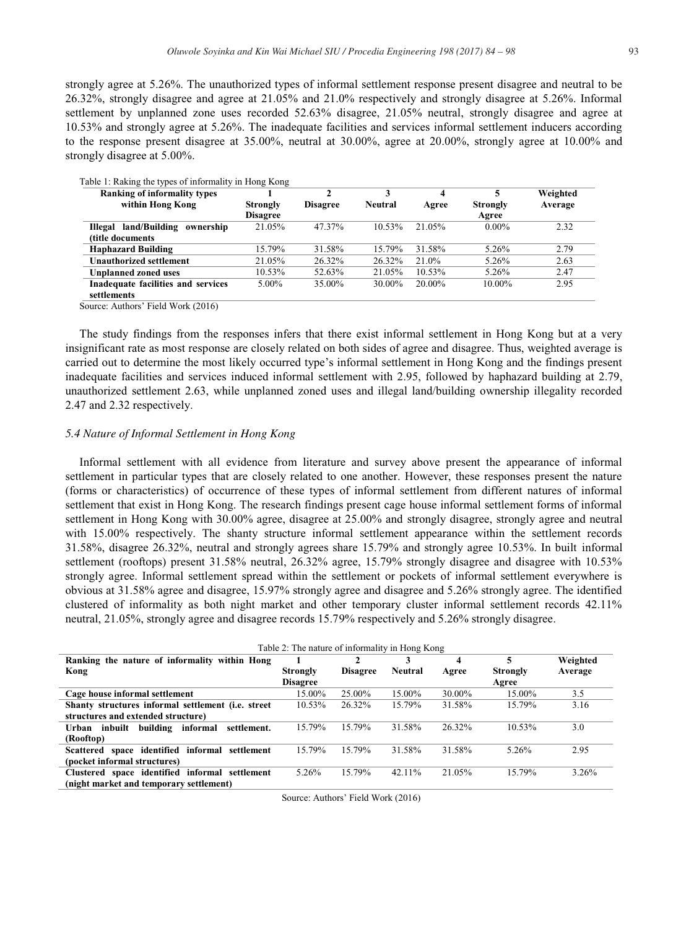strongly agree at 5.26%. The unauthorized types of informal settlement response present disagree and neutral to be 26.32%, strongly disagree and agree at 21.05% and 21.0% respectively and strongly disagree at 5.26%. Informal settlement by unplanned zone uses recorded 52.63% disagree, 21.05% neutral, strongly disagree and agree at 10.53% and strongly agree at 5.26%. The inadequate facilities and services informal settlement inducers according to the response present disagree at 35.00%, neutral at 30.00%, agree at 20.00%, strongly agree at 10.00% and strongly disagree at 5.00%.

| Table 1: Raking the types of informality in Hong Kong |                 |                 |           |        |                 |          |  |  |  |
|-------------------------------------------------------|-----------------|-----------------|-----------|--------|-----------------|----------|--|--|--|
| <b>Ranking of informality types</b>                   |                 | າ               |           | 4      |                 | Weighted |  |  |  |
| within Hong Kong                                      | <b>Strongly</b> | <b>Disagree</b> | Neutral   | Agree  | <b>Strongly</b> | Average  |  |  |  |
|                                                       | <b>Disagree</b> |                 |           |        | Agree           |          |  |  |  |
| Illegal land/Building ownership                       | 21.05%          | 47.37%          | $10.53\%$ | 21.05% | $0.00\%$        | 2.32     |  |  |  |
| (title documents)                                     |                 |                 |           |        |                 |          |  |  |  |
| <b>Haphazard Building</b>                             | 15.79%          | 31.58%          | 15.79%    | 31.58% | 5.26%           | 2.79     |  |  |  |
| <b>Unauthorized settlement</b>                        | 21.05%          | 26.32%          | 26.32%    | 21.0%  | 5.26%           | 2.63     |  |  |  |
| <b>Unplanned zoned uses</b>                           | 10.53%          | 52.63%          | 21.05%    | 10.53% | 5.26%           | 2.47     |  |  |  |
| Inadequate facilities and services                    | 5.00%           | 35.00%          | 30.00%    | 20.00% | 10.00%          | 2.95     |  |  |  |
| settlements                                           |                 |                 |           |        |                 |          |  |  |  |

Table 1: Raking the types of informality in Hong Kong

Source: Authors' Field Work (2016)

The study findings from the responses infers that there exist informal settlement in Hong Kong but at a very insignificant rate as most response are closely related on both sides of agree and disagree. Thus, weighted average is carried out to determine the most likely occurred type's informal settlement in Hong Kong and the findings present inadequate facilities and services induced informal settlement with 2.95, followed by haphazard building at 2.79, unauthorized settlement 2.63, while unplanned zoned uses and illegal land/building ownership illegality recorded 2.47 and 2.32 respectively.

### *5.4 Nature of Informal Settlement in Hong Kong*

Informal settlement with all evidence from literature and survey above present the appearance of informal settlement in particular types that are closely related to one another. However, these responses present the nature (forms or characteristics) of occurrence of these types of informal settlement from different natures of informal settlement that exist in Hong Kong. The research findings present cage house informal settlement forms of informal settlement in Hong Kong with 30.00% agree, disagree at 25.00% and strongly disagree, strongly agree and neutral with 15.00% respectively. The shanty structure informal settlement appearance within the settlement records 31.58%, disagree 26.32%, neutral and strongly agrees share 15.79% and strongly agree 10.53%. In built informal settlement (rooftops) present 31.58% neutral, 26.32% agree, 15.79% strongly disagree and disagree with 10.53% strongly agree. Informal settlement spread within the settlement or pockets of informal settlement everywhere is obvious at 31.58% agree and disagree, 15.97% strongly agree and disagree and 5.26% strongly agree. The identified clustered of informality as both night market and other temporary cluster informal settlement records 42.11% neutral, 21.05%, strongly agree and disagree records 15.79% respectively and 5.26% strongly disagree.

| Table 2: The nature of informality in Hong Kong    |                 |                 |                |        |          |          |  |
|----------------------------------------------------|-----------------|-----------------|----------------|--------|----------|----------|--|
| Ranking the nature of informality within Hong      |                 |                 |                | 4      | 5        | Weighted |  |
| Kong                                               | <b>Strongly</b> | <b>Disagree</b> | <b>Neutral</b> | Agree  | Strongly | Average  |  |
|                                                    | <b>Disagree</b> |                 |                |        | Agree    |          |  |
| Cage house informal settlement                     | 15.00%          | 25.00%          | 15.00%         | 30.00% | 15.00%   | 3.5      |  |
| Shanty structures informal settlement (i.e. street | 10.53%          | 26.32%          | 15.79%         | 31.58% | 15.79%   | 3.16     |  |
| structures and extended structure)                 |                 |                 |                |        |          |          |  |
| Urban inbuilt building informal<br>settlement.     | 15.79%          | 15.79%          | 31.58%         | 26.32% | 10.53%   | 3.0      |  |
| (Rooftop)                                          |                 |                 |                |        |          |          |  |
| Scattered space identified informal settlement     | 15.79%          | 15.79%          | 31.58%         | 31.58% | 5.26%    | 2.95     |  |
| (pocket informal structures)                       |                 |                 |                |        |          |          |  |
| Clustered space identified informal settlement     | 5.26%           | 15.79%          | $42.11\%$      | 21.05% | 15.79%   | 3.26%    |  |
| (night market and temporary settlement)            |                 |                 |                |        |          |          |  |

Source: Authors' Field Work (2016)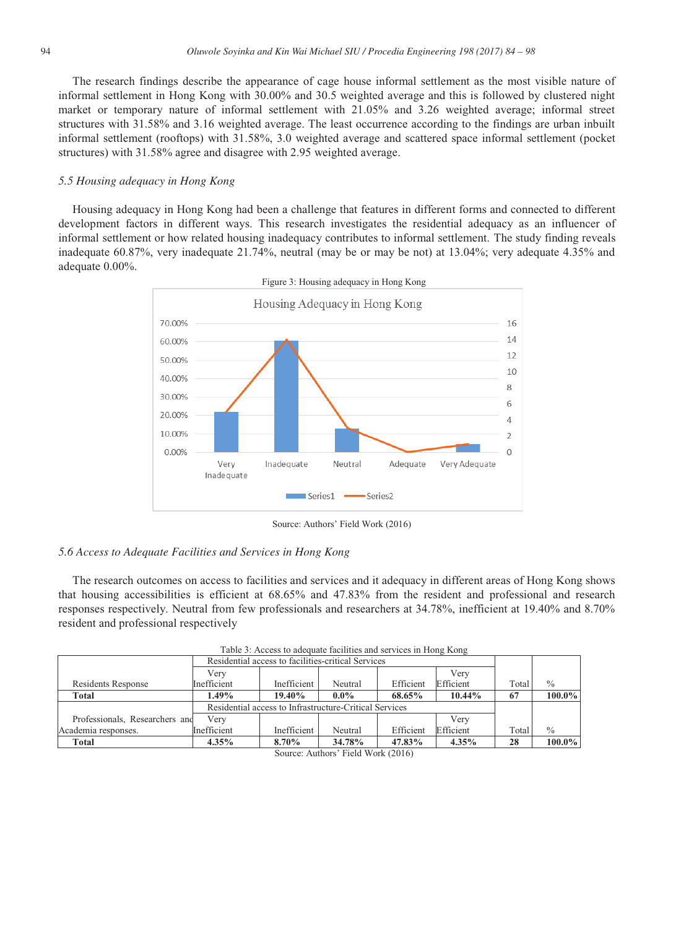The research findings describe the appearance of cage house informal settlement as the most visible nature of informal settlement in Hong Kong with 30.00% and 30.5 weighted average and this is followed by clustered night market or temporary nature of informal settlement with 21.05% and 3.26 weighted average; informal street structures with 31.58% and 3.16 weighted average. The least occurrence according to the findings are urban inbuilt informal settlement (rooftops) with 31.58%, 3.0 weighted average and scattered space informal settlement (pocket structures) with 31.58% agree and disagree with 2.95 weighted average.

### *5.5 Housing adequacy in Hong Kong*

Housing adequacy in Hong Kong had been a challenge that features in different forms and connected to different development factors in different ways. This research investigates the residential adequacy as an influencer of informal settlement or how related housing inadequacy contributes to informal settlement. The study finding reveals inadequate 60.87%, very inadequate 21.74%, neutral (may be or may be not) at 13.04%; very adequate 4.35% and adequate 0.00%.



Source: Authors' Field Work (2016)

# *5.6 Access to Adequate Facilities and Services in Hong Kong*

The research outcomes on access to facilities and services and it adequacy in different areas of Hong Kong shows that housing accessibilities is efficient at 68.65% and 47.83% from the resident and professional and research responses respectively. Neutral from few professionals and researchers at 34.78%, inefficient at 19.40% and 8.70% resident and professional respectively

|                                            | Residential access to facilities-critical Services     |             |         |           |           |       |               |
|--------------------------------------------|--------------------------------------------------------|-------------|---------|-----------|-----------|-------|---------------|
|                                            | Verv                                                   |             |         |           | Very      |       |               |
| Residents Response                         | Inefficient                                            | Inefficient | Neutral | Efficient | Efficient | Total | $\frac{0}{0}$ |
| Total                                      | 1.49%                                                  | 19.40%      | $0.0\%$ | 68.65%    | 10.44%    | 67    | $100.0\%$     |
|                                            | Residential access to Infrastructure-Critical Services |             |         |           |           |       |               |
| Professionals, Researchers and             | Very                                                   |             |         |           | Very      |       |               |
| Academia responses.                        | Inefficient                                            | Inefficient | Neutral | Efficient | Efficient | Total | $\frac{0}{0}$ |
| Total                                      | $4.35\%$                                               | 8.70%       | 34.78%  | 47.83%    | $4.35\%$  | 28    | $100.0\%$     |
| $\gamma$ Course Authors' Field Work (2016) |                                                        |             |         |           |           |       |               |

Table 3: Access to adequate facilities and services in Hong Kong

Source: Authors' Field Work (2016)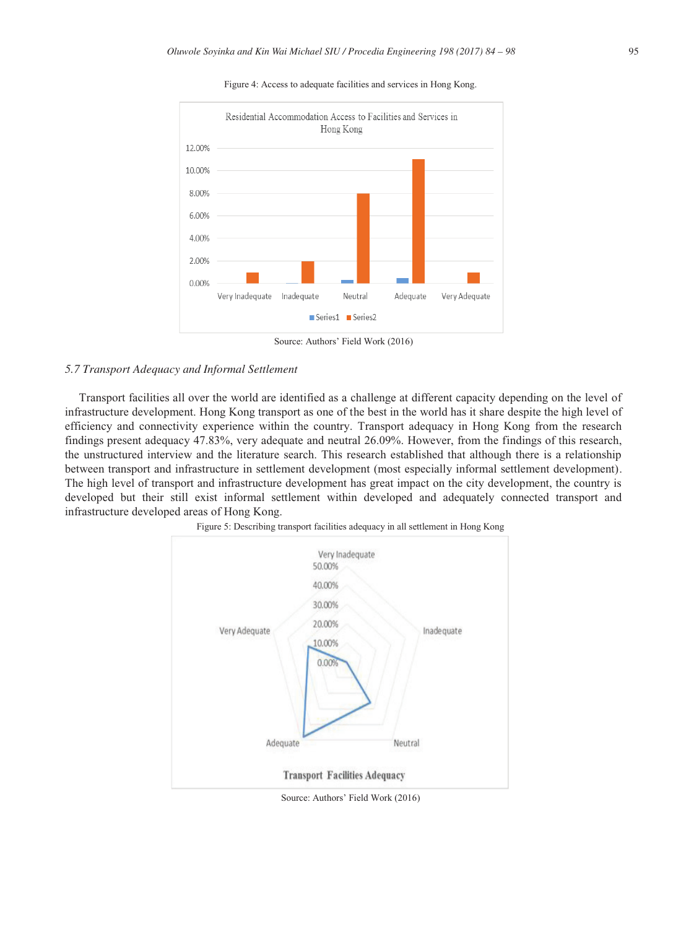

Figure 4: Access to adequate facilities and services in Hong Kong.

Source: Authors' Field Work (2016)

## *5.7 Transport Adequacy and Informal Settlement*

Transport facilities all over the world are identified as a challenge at different capacity depending on the level of infrastructure development. Hong Kong transport as one of the best in the world has it share despite the high level of efficiency and connectivity experience within the country. Transport adequacy in Hong Kong from the research findings present adequacy 47.83%, very adequate and neutral 26.09%. However, from the findings of this research, the unstructured interview and the literature search. This research established that although there is a relationship between transport and infrastructure in settlement development (most especially informal settlement development). The high level of transport and infrastructure development has great impact on the city development, the country is developed but their still exist informal settlement within developed and adequately connected transport and infrastructure developed areas of Hong Kong.





Source: Authors' Field Work (2016)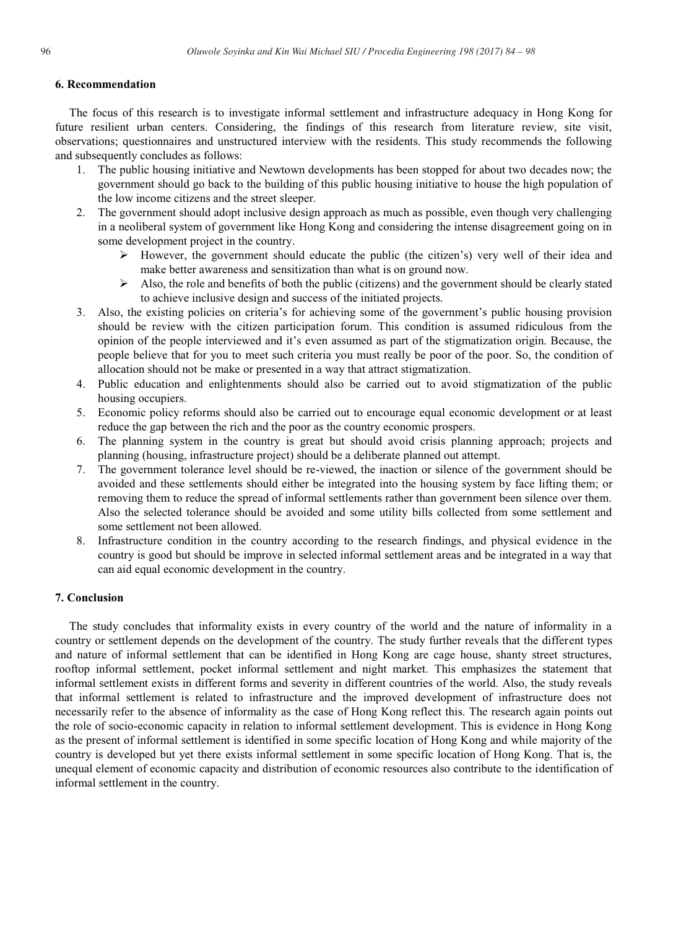# **6. Recommendation**

The focus of this research is to investigate informal settlement and infrastructure adequacy in Hong Kong for future resilient urban centers. Considering, the findings of this research from literature review, site visit, observations; questionnaires and unstructured interview with the residents. This study recommends the following and subsequently concludes as follows:

- 1. The public housing initiative and Newtown developments has been stopped for about two decades now; the government should go back to the building of this public housing initiative to house the high population of the low income citizens and the street sleeper.
- 2. The government should adopt inclusive design approach as much as possible, even though very challenging in a neoliberal system of government like Hong Kong and considering the intense disagreement going on in some development project in the country.
	- $\triangleright$  However, the government should educate the public (the citizen's) very well of their idea and make better awareness and sensitization than what is on ground now.
	- $\triangleright$  Also, the role and benefits of both the public (citizens) and the government should be clearly stated to achieve inclusive design and success of the initiated projects.
- 3. Also, the existing policies on criteria's for achieving some of the government's public housing provision should be review with the citizen participation forum. This condition is assumed ridiculous from the opinion of the people interviewed and it's even assumed as part of the stigmatization origin. Because, the people believe that for you to meet such criteria you must really be poor of the poor. So, the condition of allocation should not be make or presented in a way that attract stigmatization.
- 4. Public education and enlightenments should also be carried out to avoid stigmatization of the public housing occupiers.
- 5. Economic policy reforms should also be carried out to encourage equal economic development or at least reduce the gap between the rich and the poor as the country economic prospers.
- 6. The planning system in the country is great but should avoid crisis planning approach; projects and planning (housing, infrastructure project) should be a deliberate planned out attempt.
- 7. The government tolerance level should be re-viewed, the inaction or silence of the government should be avoided and these settlements should either be integrated into the housing system by face lifting them; or removing them to reduce the spread of informal settlements rather than government been silence over them. Also the selected tolerance should be avoided and some utility bills collected from some settlement and some settlement not been allowed.
- 8. Infrastructure condition in the country according to the research findings, and physical evidence in the country is good but should be improve in selected informal settlement areas and be integrated in a way that can aid equal economic development in the country.

# **7. Conclusion**

The study concludes that informality exists in every country of the world and the nature of informality in a country or settlement depends on the development of the country. The study further reveals that the different types and nature of informal settlement that can be identified in Hong Kong are cage house, shanty street structures, rooftop informal settlement, pocket informal settlement and night market. This emphasizes the statement that informal settlement exists in different forms and severity in different countries of the world. Also, the study reveals that informal settlement is related to infrastructure and the improved development of infrastructure does not necessarily refer to the absence of informality as the case of Hong Kong reflect this. The research again points out the role of socio-economic capacity in relation to informal settlement development. This is evidence in Hong Kong as the present of informal settlement is identified in some specific location of Hong Kong and while majority of the country is developed but yet there exists informal settlement in some specific location of Hong Kong. That is, the unequal element of economic capacity and distribution of economic resources also contribute to the identification of informal settlement in the country.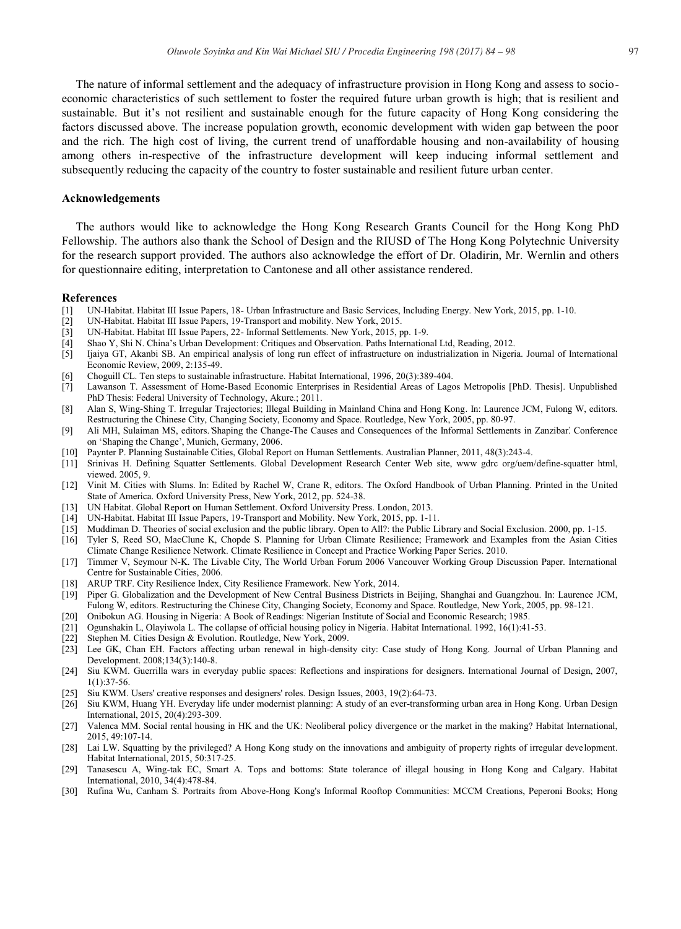The nature of informal settlement and the adequacy of infrastructure provision in Hong Kong and assess to socioeconomic characteristics of such settlement to foster the required future urban growth is high; that is resilient and sustainable. But it's not resilient and sustainable enough for the future capacity of Hong Kong considering the factors discussed above. The increase population growth, economic development with widen gap between the poor and the rich. The high cost of living, the current trend of unaffordable housing and non-availability of housing among others in-respective of the infrastructure development will keep inducing informal settlement and subsequently reducing the capacity of the country to foster sustainable and resilient future urban center.

#### **Acknowledgements**

The authors would like to acknowledge the Hong Kong Research Grants Council for the Hong Kong PhD Fellowship. The authors also thank the School of Design and the RIUSD of The Hong Kong Polytechnic University for the research support provided. The authors also acknowledge the effort of Dr. Oladirin, Mr. Wernlin and others for questionnaire editing, interpretation to Cantonese and all other assistance rendered.

#### **References**

- [1] UN-Habitat. Habitat III Issue Papers, 18- Urban Infrastructure and Basic Services, Including Energy. New York, 2015, pp. 1-10.
- UN-Habitat. Habitat III Issue Papers, 19-Transport and mobility. New York, 2015.
- [3] UN-Habitat. Habitat III Issue Papers, 22- Informal Settlements. New York, 2015, pp. 1-9.
- [4] Shao Y, Shi N. China's Urban Development: Critiques and Observation. Paths International Ltd, Reading, 2012.
- [5] Ijaiya GT, Akanbi SB. An empirical analysis of long run effect of infrastructure on industrialization in Nigeria. Journal of International Economic Review, 2009, 2:135-49.
- [6] Choguill CL. Ten steps to sustainable infrastructure. Habitat International, 1996, 20(3):389-404.
- [7] Lawanson T. Assessment of Home-Based Economic Enterprises in Residential Areas of Lagos Metropolis [PhD. Thesis]. Unpublished PhD Thesis: Federal University of Technology, Akure.; 2011.
- [8] Alan S, Wing-Shing T. Irregular Trajectories; Illegal Building in Mainland China and Hong Kong. In: Laurence JCM, Fulong W, editors. Restructuring the Chinese City, Changing Society, Economy and Space. Routledge, New York, 2005, pp. 80-97.
- [9] Ali MH, Sulaiman MS, editors. Shaping the Change-The Causes and Consequences of the Informal Settlements in Zanzibar. Conference on 'Shaping the Change', Munich, Germany, 2006.
- [10] Paynter P. Planning Sustainable Cities, Global Report on Human Settlements. Australian Planner, 2011, 48(3):243-4.
- [11] Srinivas H. Defining Squatter Settlements. Global Development Research Center Web site, www gdrc org/uem/define-squatter html, viewed. 2005, 9.
- [12] Vinit M. Cities with Slums. In: Edited by Rachel W, Crane R, editors. The Oxford Handbook of Urban Planning. Printed in the United State of America. Oxford University Press, New York, 2012, pp. 524-38.
- [13] UN Habitat. Global Report on Human Settlement. Oxford University Press. London, 2013.
- [14] UN-Habitat. Habitat III Issue Papers, 19-Transport and Mobility. New York, 2015, pp. 1-11.
- [15] Muddiman D. Theories of social exclusion and the public library. Open to All?: the Public Library and Social Exclusion. 2000, pp. 1-15.
- [16] Tyler S, Reed SO, MacClune K, Chopde S. Planning for Urban Climate Resilience; Framework and Examples from the Asian Cities Climate Change Resilience Network. Climate Resilience in Concept and Practice Working Paper Series. 2010.
- [17] Timmer V, Seymour N-K. The Livable City, The World Urban Forum 2006 Vancouver Working Group Discussion Paper. International Centre for Sustainable Cities, 2006.
- [18] ARUP TRF. City Resilience Index, City Resilience Framework. New York, 2014.
- [19] Piper G. Globalization and the Development of New Central Business Districts in Beijing, Shanghai and Guangzhou. In: Laurence JCM, Fulong W, editors. Restructuring the Chinese City, Changing Society, Economy and Space. Routledge, New York, 2005, pp. 98-121.
- [20] Onibokun AG. Housing in Nigeria: A Book of Readings: Nigerian Institute of Social and Economic Research; 1985.
- [21] Ogunshakin L, Olayiwola L. The collapse of official housing policy in Nigeria. Habitat International. 1992, 16(1):41-53.
- [22] Stephen M. Cities Design & Evolution. Routledge, New York, 2009.
- [23] Lee GK, Chan EH. Factors affecting urban renewal in high-density city: Case study of Hong Kong. Journal of Urban Planning and Development. 2008;134(3):140-8.
- [24] Siu KWM. Guerrilla wars in everyday public spaces: Reflections and inspirations for designers. International Journal of Design, 2007,  $1(1):37-56$ .
- [25] Siu KWM. Users' creative responses and designers' roles. Design Issues, 2003, 19(2):64-73.
- [26] Siu KWM, Huang YH. Everyday life under modernist planning: A study of an ever-transforming urban area in Hong Kong. Urban Design International, 2015, 20(4):293-309.
- [27] Valenca MM. Social rental housing in HK and the UK: Neoliberal policy divergence or the market in the making? Habitat International, 2015, 49:107-14.
- [28] Lai LW. Squatting by the privileged? A Hong Kong study on the innovations and ambiguity of property rights of irregular development. Habitat International, 2015, 50:317-25.
- [29] Tanasescu A, Wing-tak EC, Smart A. Tops and bottoms: State tolerance of illegal housing in Hong Kong and Calgary. Habitat International, 2010, 34(4):478-84.
- [30] Rufina Wu, Canham S. Portraits from Above-Hong Kong's Informal Rooftop Communities: MCCM Creations, Peperoni Books; Hong